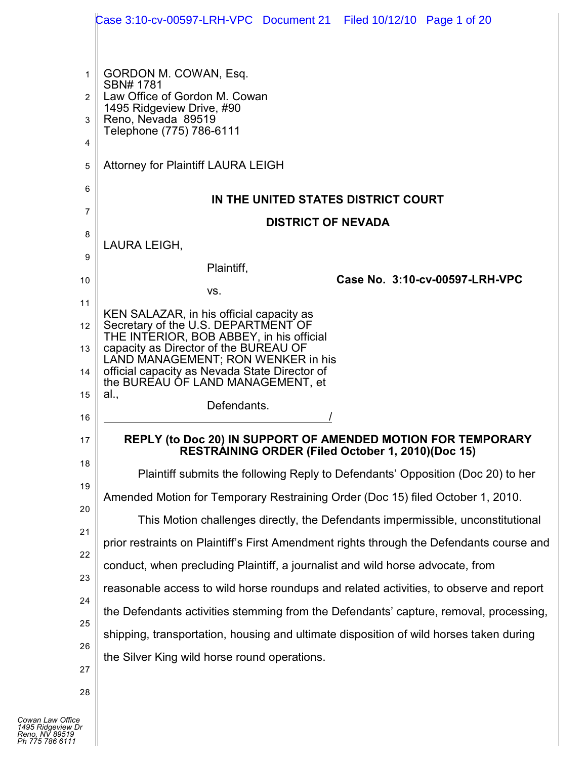|    | Case 3:10-cv-00597-LRH-VPC Document 21 Filed 10/12/10 Page 1 of 20                                                |
|----|-------------------------------------------------------------------------------------------------------------------|
|    |                                                                                                                   |
| 1  | GORDON M. COWAN, Esq.<br>SBN# 1781                                                                                |
| 2  | Law Office of Gordon M. Cowan<br>1495 Ridgeview Drive, #90                                                        |
| 3  | Reno, Nevada 89519<br>Telephone (775) 786-6111                                                                    |
| 4  |                                                                                                                   |
| 5  | <b>Attorney for Plaintiff LAURA LEIGH</b>                                                                         |
| 6  | IN THE UNITED STATES DISTRICT COURT                                                                               |
| 7  | <b>DISTRICT OF NEVADA</b>                                                                                         |
| 8  | LAURA LEIGH,                                                                                                      |
| 9  | Plaintiff,                                                                                                        |
| 10 | Case No. 3:10-cv-00597-LRH-VPC<br>VS.                                                                             |
| 11 | KEN SALAZAR, in his official capacity as                                                                          |
| 12 | Secretary of the U.S. DEPARTMENT OF<br>THE INTERIOR, BOB ABBEY, in his official                                   |
| 13 | capacity as Director of the BUREAU OF<br>LAND MANAGEMENT; RON WENKER in his                                       |
| 14 | official capacity as Nevada State Director of<br>the BUREAU OF LAND MANAGEMENT, et                                |
| 15 | al.,<br>Defendants.                                                                                               |
| 16 |                                                                                                                   |
| 17 | REPLY (to Doc 20) IN SUPPORT OF AMENDED MOTION FOR TEMPORARY<br>RESTRÁINING ORDER (Filed October 1, 2010)(Doc 15) |
| 18 | Plaintiff submits the following Reply to Defendants' Opposition (Doc 20) to her                                   |
| 19 | Amended Motion for Temporary Restraining Order (Doc 15) filed October 1, 2010.                                    |
| 20 | This Motion challenges directly, the Defendants impermissible, unconstitutional                                   |
| 21 | prior restraints on Plaintiff's First Amendment rights through the Defendants course and                          |
| 22 | conduct, when precluding Plaintiff, a journalist and wild horse advocate, from                                    |
| 23 | reasonable access to wild horse roundups and related activities, to observe and report                            |
| 24 | the Defendants activities stemming from the Defendants' capture, removal, processing,                             |
| 25 | shipping, transportation, housing and ultimate disposition of wild horses taken during                            |
| 26 | the Silver King wild horse round operations.                                                                      |
| 27 |                                                                                                                   |
| 28 |                                                                                                                   |

 $\blacksquare$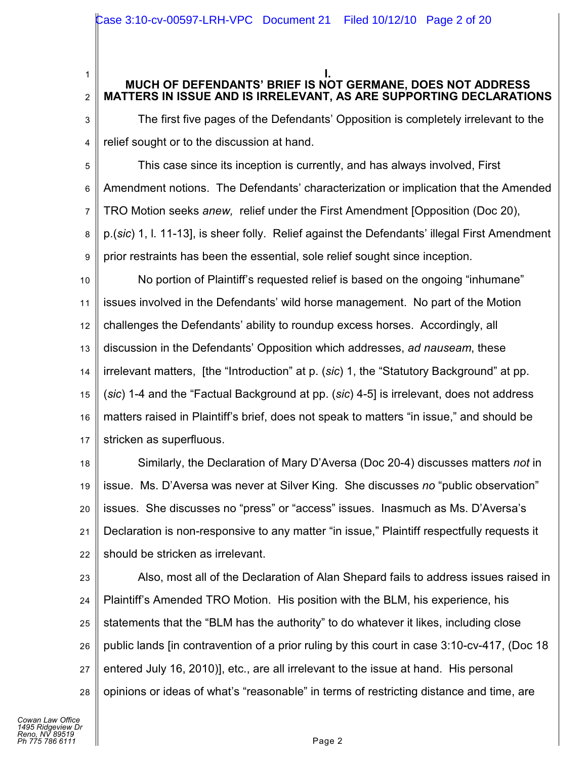#### **I. MUCH OF DEFENDANTS' BRIEF IS NOT GERMANE, DOES NOT ADDRESS MATTERS IN ISSUE AND IS IRRELEVANT, AS ARE SUPPORTING DECLARATIONS**

3 4 The first five pages of the Defendants' Opposition is completely irrelevant to the relief sought or to the discussion at hand.

5 6 7 8 9 This case since its inception is currently, and has always involved, First Amendment notions. The Defendants' characterization or implication that the Amended TRO Motion seeks *anew,* relief under the First Amendment [Opposition (Doc 20), p.(*sic*) 1, l. 11-13], is sheer folly. Relief against the Defendants' illegal First Amendment prior restraints has been the essential, sole relief sought since inception.

10 11 12 13 14 15 16 17 No portion of Plaintiff's requested relief is based on the ongoing "inhumane" issues involved in the Defendants' wild horse management. No part of the Motion challenges the Defendants' ability to roundup excess horses. Accordingly, all discussion in the Defendants' Opposition which addresses, *ad nauseam*, these irrelevant matters, [the "Introduction" at p. (*sic*) 1, the "Statutory Background" at pp. (*sic*) 1-4 and the "Factual Background at pp. (*sic*) 4-5] is irrelevant, does not address matters raised in Plaintiff's brief, does not speak to matters "in issue," and should be stricken as superfluous.

18 19 20 21 22 Similarly, the Declaration of Mary D'Aversa (Doc 20-4) discusses matters *not* in issue. Ms. D'Aversa was never at Silver King. She discusses *no* "public observation" issues. She discusses no "press" or "access" issues. Inasmuch as Ms. D'Aversa's Declaration is non-responsive to any matter "in issue," Plaintiff respectfully requests it should be stricken as irrelevant.

23 24 25 26 27 28 Also, most all of the Declaration of Alan Shepard fails to address issues raised in Plaintiff's Amended TRO Motion. His position with the BLM, his experience, his statements that the "BLM has the authority" to do whatever it likes, including close public lands [in contravention of a prior ruling by this court in case 3:10-cv-417, (Doc 18 entered July 16, 2010)], etc., are all irrelevant to the issue at hand. His personal opinions or ideas of what's "reasonable" in terms of restricting distance and time, are

1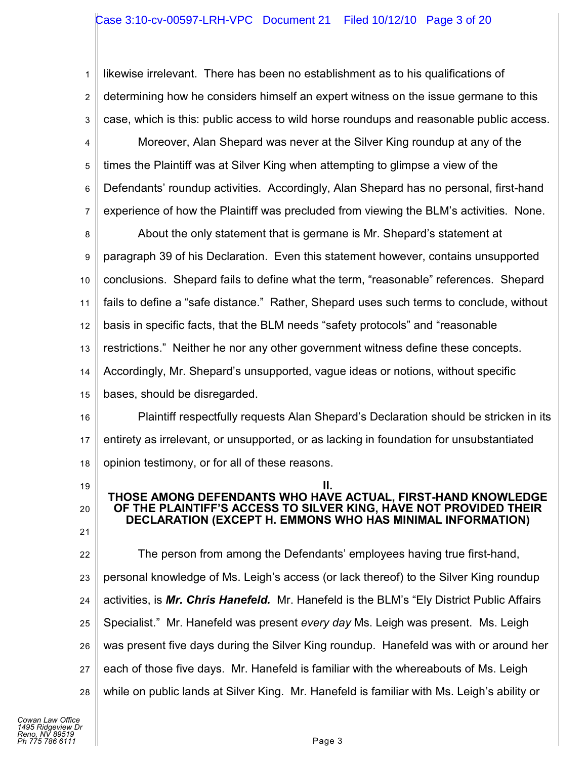## Case 3:10-cv-00597-LRH-VPC Document 21 Filed 10/12/10 Page 3 of 20

1 2 3 likewise irrelevant. There has been no establishment as to his qualifications of determining how he considers himself an expert witness on the issue germane to this case, which is this: public access to wild horse roundups and reasonable public access.

4 5 6 7 Moreover, Alan Shepard was never at the Silver King roundup at any of the times the Plaintiff was at Silver King when attempting to glimpse a view of the Defendants' roundup activities. Accordingly, Alan Shepard has no personal, first-hand experience of how the Plaintiff was precluded from viewing the BLM's activities. None.

8 9 10 11 12 13 14 About the only statement that is germane is Mr. Shepard's statement at paragraph 39 of his Declaration. Even this statement however, contains unsupported conclusions. Shepard fails to define what the term, "reasonable" references. Shepard fails to define a "safe distance." Rather, Shepard uses such terms to conclude, without basis in specific facts, that the BLM needs "safety protocols" and "reasonable restrictions." Neither he nor any other government witness define these concepts. Accordingly, Mr. Shepard's unsupported, vague ideas or notions, without specific

15 bases, should be disregarded.

16 17 18 Plaintiff respectfully requests Alan Shepard's Declaration should be stricken in its entirety as irrelevant, or unsupported, or as lacking in foundation for unsubstantiated opinion testimony, or for all of these reasons.

**II. THOSE AMONG DEFENDANTS WHO HAVE ACTUAL, FIRST-HAND KNOWLEDGE OF THE PLAINTIFF'S ACCESS TO SILVER KING, HAVE NOT PROVIDED THEIR DECLARATION (EXCEPT H. EMMONS WHO HAS MINIMAL INFORMATION)**

- 19
- 20
- 21

22 23 24 25 26 27 28 The person from among the Defendants' employees having true first-hand, personal knowledge of Ms. Leigh's access (or lack thereof) to the Silver King roundup activities, is *Mr. Chris Hanefeld.* Mr. Hanefeld is the BLM's "Ely District Public Affairs Specialist." Mr. Hanefeld was present *every day* Ms. Leigh was present. Ms. Leigh was present five days during the Silver King roundup. Hanefeld was with or around her each of those five days. Mr. Hanefeld is familiar with the whereabouts of Ms. Leigh while on public lands at Silver King. Mr. Hanefeld is familiar with Ms. Leigh's ability or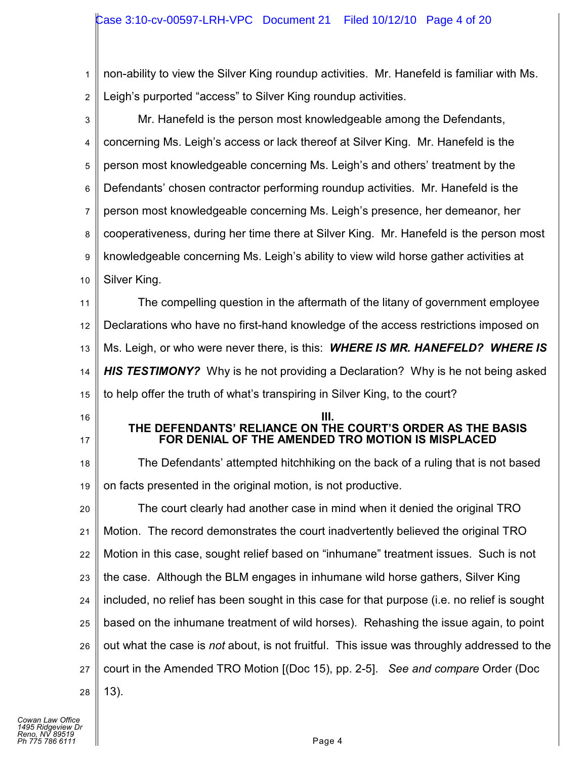1 2 non-ability to view the Silver King roundup activities. Mr. Hanefeld is familiar with Ms. Leigh's purported "access" to Silver King roundup activities.

| 3              | Mr. Hanefeld is the person most knowledgeable among the Defendants,                                             |  |
|----------------|-----------------------------------------------------------------------------------------------------------------|--|
| 4              | concerning Ms. Leigh's access or lack thereof at Silver King. Mr. Hanefeld is the                               |  |
| 5              | person most knowledgeable concerning Ms. Leigh's and others' treatment by the                                   |  |
| 6              | Defendants' chosen contractor performing roundup activities. Mr. Hanefeld is the                                |  |
| $\overline{7}$ | person most knowledgeable concerning Ms. Leigh's presence, her demeanor, her                                    |  |
| 8              | cooperativeness, during her time there at Silver King. Mr. Hanefeld is the person most                          |  |
| 9              | knowledgeable concerning Ms. Leigh's ability to view wild horse gather activities at                            |  |
| 10             | Silver King.                                                                                                    |  |
| 11             | The compelling question in the aftermath of the litany of government employee                                   |  |
| 12             | Declarations who have no first-hand knowledge of the access restrictions imposed on                             |  |
| 13             | Ms. Leigh, or who were never there, is this: <b>WHERE IS MR. HANEFELD? WHERE IS</b>                             |  |
| 14             | <b>HIS TESTIMONY?</b> Why is he not providing a Declaration? Why is he not being asked                          |  |
| 15             | to help offer the truth of what's transpiring in Silver King, to the court?                                     |  |
|                |                                                                                                                 |  |
| 16             |                                                                                                                 |  |
| 17             | THE DEFENDANTS' RELIANCE ON THE COURT'S ORDER AS THE BASIS<br>FOR DENIAL OF THE AMENDED TRO MOTION IS MISPLACED |  |
| 18             | The Defendants' attempted hitchhiking on the back of a ruling that is not based                                 |  |
| 19             | on facts presented in the original motion, is not productive.                                                   |  |
| 20             | The court clearly had another case in mind when it denied the original TRO                                      |  |
| 21             | Motion. The record demonstrates the court inadvertently believed the original TRO                               |  |
| 22             | Motion in this case, sought relief based on "inhumane" treatment issues. Such is not                            |  |
| 23             | the case. Although the BLM engages in inhumane wild horse gathers, Silver King                                  |  |
| 24             | included, no relief has been sought in this case for that purpose (i.e. no relief is sought                     |  |
| 25             | based on the inhumane treatment of wild horses). Rehashing the issue again, to point                            |  |
| 26             | out what the case is not about, is not fruitful. This issue was throughly addressed to the                      |  |
| 27             | court in the Amended TRO Motion [(Doc 15), pp. 2-5]. See and compare Order (Doc                                 |  |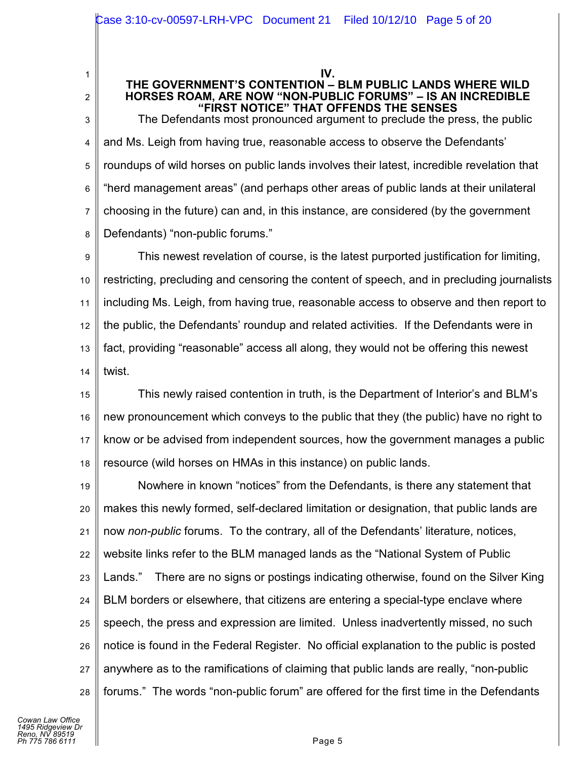**IV.**

### **THE GOVERNMENT'S CONTENTION – BLM PUBLIC LANDS WHERE WILD HORSES ROAM, ARE NOW "NON-PUBLIC FORUMS" – IS AN INCREDIBLE "FIRST NOTICE" THAT OFFENDS THE SENSES**

3 4 5 6 7 8 The Defendants most pronounced argument to preclude the press, the public and Ms. Leigh from having true, reasonable access to observe the Defendants' roundups of wild horses on public lands involves their latest, incredible revelation that "herd management areas" (and perhaps other areas of public lands at their unilateral choosing in the future) can and, in this instance, are considered (by the government Defendants) "non-public forums."

9 10 11 12 13 14 This newest revelation of course, is the latest purported justification for limiting, restricting, precluding and censoring the content of speech, and in precluding journalists including Ms. Leigh, from having true, reasonable access to observe and then report to the public, the Defendants' roundup and related activities. If the Defendants were in fact, providing "reasonable" access all along, they would not be offering this newest twist.

15 16 17 18 This newly raised contention in truth, is the Department of Interior's and BLM's new pronouncement which conveys to the public that they (the public) have no right to know or be advised from independent sources, how the government manages a public resource (wild horses on HMAs in this instance) on public lands.

19 20 21 22 23 24 25 26 27 28 Nowhere in known "notices" from the Defendants, is there any statement that makes this newly formed, self-declared limitation or designation, that public lands are now *non-public* forums. To the contrary, all of the Defendants' literature, notices, website links refer to the BLM managed lands as the "National System of Public Lands." There are no signs or postings indicating otherwise, found on the Silver King BLM borders or elsewhere, that citizens are entering a special-type enclave where speech, the press and expression are limited. Unless inadvertently missed, no such notice is found in the Federal Register. No official explanation to the public is posted anywhere as to the ramifications of claiming that public lands are really, "non-public forums." The words "non-public forum" are offered for the first time in the Defendants

1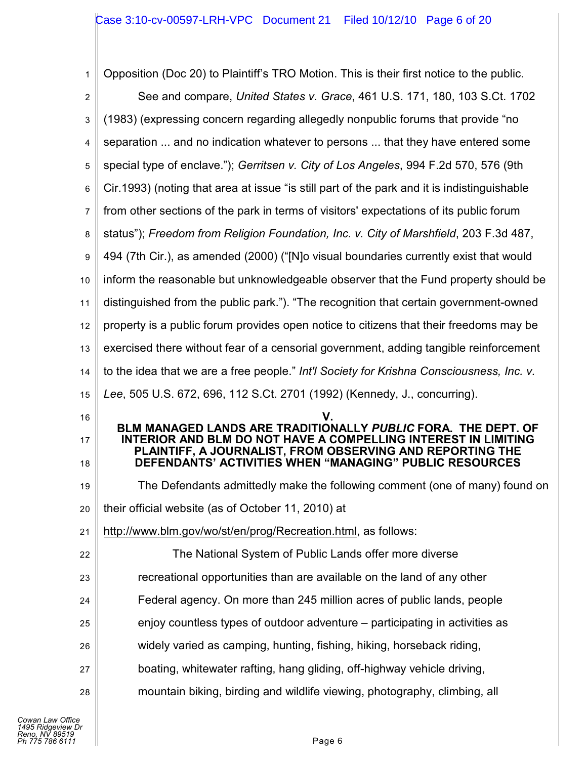| 1              | Opposition (Doc 20) to Plaintiff's TRO Motion. This is their first notice to the public.                                                                                               |
|----------------|----------------------------------------------------------------------------------------------------------------------------------------------------------------------------------------|
| $\overline{2}$ | See and compare, United States v. Grace, 461 U.S. 171, 180, 103 S.Ct. 1702                                                                                                             |
| 3              | (1983) (expressing concern regarding allegedly nonpublic forums that provide "no                                                                                                       |
| 4              | separation  and no indication whatever to persons  that they have entered some                                                                                                         |
| 5              | special type of enclave."); Gerritsen v. City of Los Angeles, 994 F.2d 570, 576 (9th                                                                                                   |
| 6              | Cir.1993) (noting that area at issue "is still part of the park and it is indistinguishable                                                                                            |
| 7              | from other sections of the park in terms of visitors' expectations of its public forum                                                                                                 |
| 8              | status"); Freedom from Religion Foundation, Inc. v. City of Marshfield, 203 F.3d 487,                                                                                                  |
| 9              | 494 (7th Cir.), as amended (2000) ("[N]o visual boundaries currently exist that would                                                                                                  |
| 10             | inform the reasonable but unknowledgeable observer that the Fund property should be                                                                                                    |
| 11             | distinguished from the public park."). "The recognition that certain government-owned                                                                                                  |
| 12             | property is a public forum provides open notice to citizens that their freedoms may be                                                                                                 |
| 13             | exercised there without fear of a censorial government, adding tangible reinforcement                                                                                                  |
| 14             | to the idea that we are a free people." Int'l Society for Krishna Consciousness, Inc. v.                                                                                               |
|                | Lee, 505 U.S. 672, 696, 112 S.Ct. 2701 (1992) (Kennedy, J., concurring).                                                                                                               |
| 15             |                                                                                                                                                                                        |
| 16             | BLM MANAGED LANDS ARE TRADITIONALLY PUBLIC FORA. THE DEPT. OF                                                                                                                          |
| 17<br>18       | INTERIOR AND BLM DO NOT HAVE A COMPELLING INTEREST IN LIMITING<br>PLAINTIFF, A JOURNALIST, FROM OBSERVING AND REPORTING THE<br>DEFENDANTS' ACTIVITIES WHEN "MANAGING" PUBLIC RESOURCES |
| 19             | The Defendants admittedly make the following comment (one of many) found on                                                                                                            |
| 20             | their official website (as of October 11, 2010) at                                                                                                                                     |
| 21             | http://www.blm.gov/wo/st/en/prog/Recreation.html, as follows:                                                                                                                          |
| 22             | The National System of Public Lands offer more diverse                                                                                                                                 |
| 23             | recreational opportunities than are available on the land of any other                                                                                                                 |
| 24             | Federal agency. On more than 245 million acres of public lands, people                                                                                                                 |
| 25             | enjoy countless types of outdoor adventure – participating in activities as                                                                                                            |
| 26             | widely varied as camping, hunting, fishing, hiking, horseback riding,                                                                                                                  |
| 27             | boating, whitewater rafting, hang gliding, off-highway vehicle driving,                                                                                                                |
| 28             | mountain biking, birding and wildlife viewing, photography, climbing, all                                                                                                              |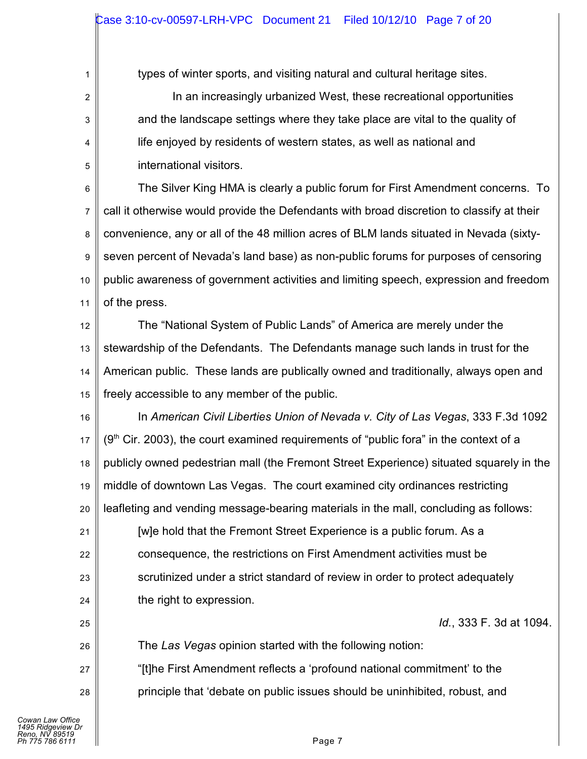types of winter sports, and visiting natural and cultural heritage sites.

In an increasingly urbanized West, these recreational opportunities and the landscape settings where they take place are vital to the quality of life enjoyed by residents of western states, as well as national and international visitors.

6 7 8 9 10 11 The Silver King HMA is clearly a public forum for First Amendment concerns. To call it otherwise would provide the Defendants with broad discretion to classify at their convenience, any or all of the 48 million acres of BLM lands situated in Nevada (sixtyseven percent of Nevada's land base) as non-public forums for purposes of censoring public awareness of government activities and limiting speech, expression and freedom of the press.

12 13 14 15 The "National System of Public Lands" of America are merely under the stewardship of the Defendants. The Defendants manage such lands in trust for the American public. These lands are publically owned and traditionally, always open and freely accessible to any member of the public.

- 16 17 18 19 20 In *American Civil Liberties Union of Nevada v. City of Las Vegas*, 333 F.3d 1092  $(9<sup>th</sup>$  Cir. 2003), the court examined requirements of "public fora" in the context of a publicly owned pedestrian mall (the Fremont Street Experience) situated squarely in the middle of downtown Las Vegas. The court examined city ordinances restricting leafleting and vending message-bearing materials in the mall, concluding as follows:
- 21 22 23 24 [w]e hold that the Fremont Street Experience is a public forum. As a consequence, the restrictions on First Amendment activities must be scrutinized under a strict standard of review in order to protect adequately the right to expression.

*Id.*, 333 F. 3d at 1094.

The *Las Vegas* opinion started with the following notion:

"[t]he First Amendment reflects a 'profound national commitment' to the principle that 'debate on public issues should be uninhibited, robust, and

25

26

27

28

1

2

3

4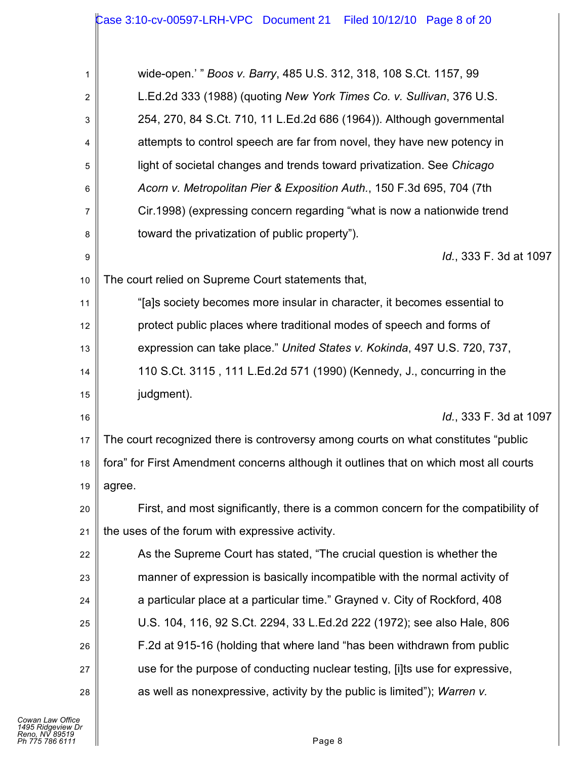| 1              | wide-open.' " Boos v. Barry, 485 U.S. 312, 318, 108 S.Ct. 1157, 99                    |
|----------------|---------------------------------------------------------------------------------------|
| $\overline{2}$ | L.Ed.2d 333 (1988) (quoting New York Times Co. v. Sullivan, 376 U.S.                  |
| 3              | 254, 270, 84 S.Ct. 710, 11 L.Ed.2d 686 (1964)). Although governmental                 |
| 4              | attempts to control speech are far from novel, they have new potency in               |
| 5              | light of societal changes and trends toward privatization. See Chicago                |
| 6              | Acorn v. Metropolitan Pier & Exposition Auth., 150 F.3d 695, 704 (7th                 |
| 7              | Cir.1998) (expressing concern regarding "what is now a nationwide trend               |
| 8              | toward the privatization of public property").                                        |
| 9              | Id., 333 F. 3d at 1097                                                                |
| 10             | The court relied on Supreme Court statements that,                                    |
| 11             | "[a]s society becomes more insular in character, it becomes essential to              |
| 12             | protect public places where traditional modes of speech and forms of                  |
| 13             | expression can take place." United States v. Kokinda, 497 U.S. 720, 737,              |
| 14             | 110 S.Ct. 3115, 111 L.Ed.2d 571 (1990) (Kennedy, J., concurring in the                |
| 15             | judgment).                                                                            |
| 16             | Id., 333 F. 3d at 1097                                                                |
| 17             | The court recognized there is controversy among courts on what constitutes "public    |
| 18             | fora" for First Amendment concerns although it outlines that on which most all courts |
| 19             | agree.                                                                                |
| 20             | First, and most significantly, there is a common concern for the compatibility of     |
| 21             | the uses of the forum with expressive activity.                                       |
| 22             | As the Supreme Court has stated, "The crucial question is whether the                 |
| 23             | manner of expression is basically incompatible with the normal activity of            |
| 24             | a particular place at a particular time." Grayned v. City of Rockford, 408            |
| 25             | U.S. 104, 116, 92 S.Ct. 2294, 33 L.Ed.2d 222 (1972); see also Hale, 806               |
| 26             | F.2d at 915-16 (holding that where land "has been withdrawn from public               |
| 27             | use for the purpose of conducting nuclear testing, [i]ts use for expressive,          |
| 28             | as well as nonexpressive, activity by the public is limited"); Warren v.              |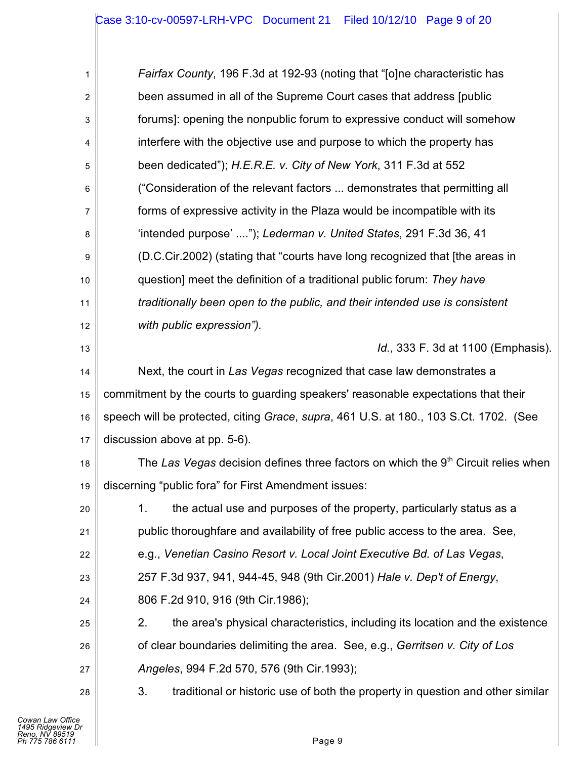| 1  | Fairfax County, 196 F.3d at 192-93 (noting that "[o]ne characteristic has             |  |
|----|---------------------------------------------------------------------------------------|--|
| 2  | been assumed in all of the Supreme Court cases that address [public]                  |  |
| 3  | forums]: opening the nonpublic forum to expressive conduct will somehow               |  |
| 4  | interfere with the objective use and purpose to which the property has                |  |
| 5  | been dedicated"); H.E.R.E. v. City of New York, 311 F.3d at 552                       |  |
| 6  | ("Consideration of the relevant factors  demonstrates that permitting all             |  |
| 7  | forms of expressive activity in the Plaza would be incompatible with its              |  |
| 8  | 'intended purpose' "); Lederman v. United States, 291 F.3d 36, 41                     |  |
| 9  | (D.C.Cir.2002) (stating that "courts have long recognized that [the areas in          |  |
| 10 | question] meet the definition of a traditional public forum: They have                |  |
| 11 | traditionally been open to the public, and their intended use is consistent           |  |
| 12 | with public expression").                                                             |  |
| 13 | Id., 333 F. 3d at 1100 (Emphasis).                                                    |  |
| 14 | Next, the court in Las Vegas recognized that case law demonstrates a                  |  |
| 15 | commitment by the courts to guarding speakers' reasonable expectations that their     |  |
| 16 | speech will be protected, citing Grace, supra, 461 U.S. at 180., 103 S.Ct. 1702. (See |  |
| 17 | discussion above at pp. 5-6).                                                         |  |
| 18 | The Las Vegas decision defines three factors on which the $9th$ Circuit relies when   |  |
| 19 | discerning "public fora" for First Amendment issues:                                  |  |
| 20 | 1.<br>the actual use and purposes of the property, particularly status as a           |  |
| 21 | public thoroughfare and availability of free public access to the area. See,          |  |
| 22 | e.g., Venetian Casino Resort v. Local Joint Executive Bd. of Las Vegas,               |  |
| 23 | 257 F.3d 937, 941, 944-45, 948 (9th Cir.2001) Hale v. Dep't of Energy,                |  |
| 24 | 806 F.2d 910, 916 (9th Cir.1986);                                                     |  |
| 25 | 2.<br>the area's physical characteristics, including its location and the existence   |  |
| 26 | of clear boundaries delimiting the area. See, e.g., Gerritsen v. City of Los          |  |
| 27 | Angeles, 994 F.2d 570, 576 (9th Cir.1993);                                            |  |
| 28 | 3.<br>traditional or historic use of both the property in question and other similar  |  |
|    |                                                                                       |  |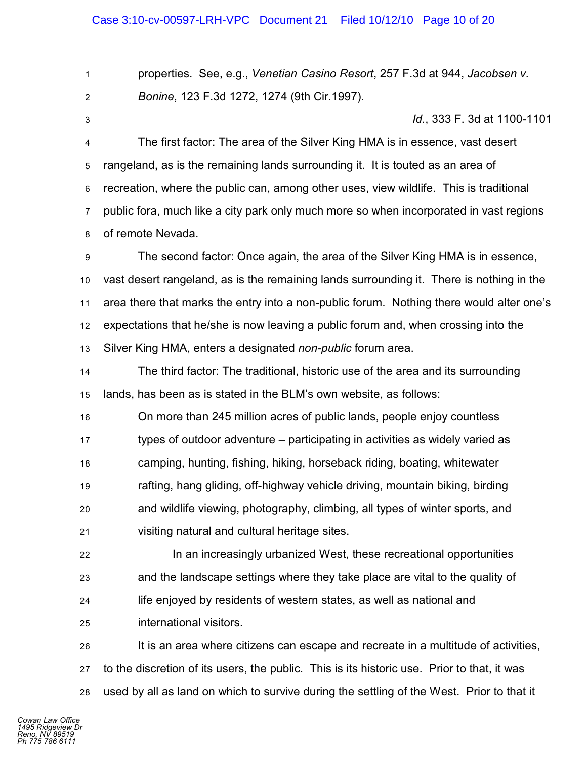## ase 3:10-cv-00597-LRH-VPC Document 21 Filed 10/12/10 Page 10 of 20

properties. See, e.g., *Venetian Casino Resort*, 257 F.3d at 944, *Jacobsen v. Bonine*, 123 F.3d 1272, 1274 (9th Cir.1997).

*Id.*, 333 F. 3d at 1100-1101

4 5 6 7 8 The first factor: The area of the Silver King HMA is in essence, vast desert rangeland, as is the remaining lands surrounding it. It is touted as an area of recreation, where the public can, among other uses, view wildlife. This is traditional public fora, much like a city park only much more so when incorporated in vast regions of remote Nevada.

9 10 11 12 13 The second factor: Once again, the area of the Silver King HMA is in essence, vast desert rangeland, as is the remaining lands surrounding it. There is nothing in the area there that marks the entry into a non-public forum. Nothing there would alter one's expectations that he/she is now leaving a public forum and, when crossing into the Silver King HMA, enters a designated *non-public* forum area.

14 15 The third factor: The traditional, historic use of the area and its surrounding lands, has been as is stated in the BLM's own website, as follows:

16 17 18 19 20 21 On more than 245 million acres of public lands, people enjoy countless types of outdoor adventure – participating in activities as widely varied as camping, hunting, fishing, hiking, horseback riding, boating, whitewater rafting, hang gliding, off-highway vehicle driving, mountain biking, birding and wildlife viewing, photography, climbing, all types of winter sports, and visiting natural and cultural heritage sites.

22 23 24 25 In an increasingly urbanized West, these recreational opportunities and the landscape settings where they take place are vital to the quality of life enjoyed by residents of western states, as well as national and international visitors.

26 27 28 It is an area where citizens can escape and recreate in a multitude of activities, to the discretion of its users, the public. This is its historic use. Prior to that, it was used by all as land on which to survive during the settling of the West. Prior to that it

1

2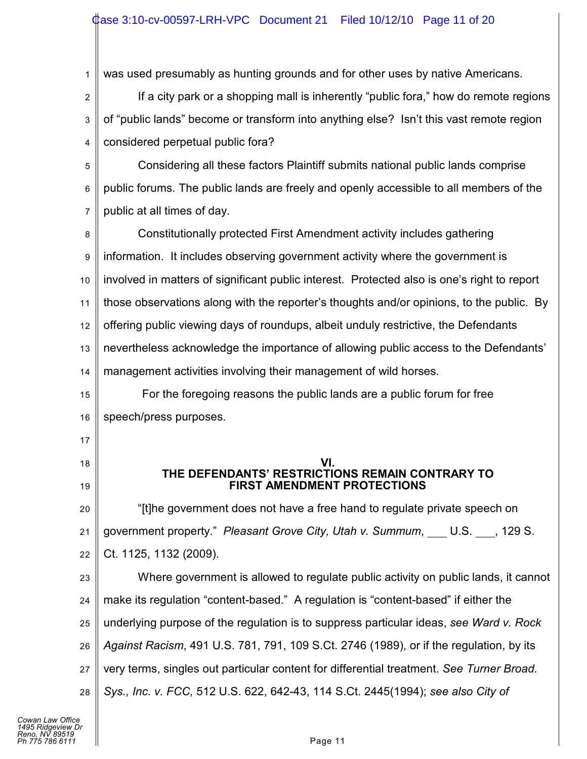1 was used presumably as hunting grounds and for other uses by native Americans.

2 3 4 If a city park or a shopping mall is inherently "public fora," how do remote regions of "public lands" become or transform into anything else? Isn't this vast remote region considered perpetual public fora?

5 6 7 Considering all these factors Plaintiff submits national public lands comprise public forums. The public lands are freely and openly accessible to all members of the public at all times of day.

8 9 10 11 12 13 14 Constitutionally protected First Amendment activity includes gathering information. It includes observing government activity where the government is involved in matters of significant public interest. Protected also is one's right to report those observations along with the reporter's thoughts and/or opinions, to the public. By offering public viewing days of roundups, albeit unduly restrictive, the Defendants nevertheless acknowledge the importance of allowing public access to the Defendants' management activities involving their management of wild horses.

15 16 For the foregoing reasons the public lands are a public forum for free speech/press purposes.

17

18

19

**VI. THE DEFENDANTS' RESTRICTIONS REMAIN CONTRARY TO FIRST AMENDMENT PROTECTIONS**

20 21 22 "[t]he government does not have a free hand to regulate private speech on government property." *Pleasant Grove City, Utah v. Summum*, U.S. , 129 S. Ct. 1125, 1132 (2009).

23 24 25 26 27 28 Where government is allowed to regulate public activity on public lands, it cannot make its regulation "content-based." A regulation is "content-based" if either the underlying purpose of the regulation is to suppress particular ideas, *see Ward v. Rock Against Racism*, 491 U.S. 781, 791, 109 S.Ct. 2746 (1989), or if the regulation, by its very terms, singles out particular content for differential treatment. *See Turner Broad. Sys., Inc. v. FCC,* 512 U.S. 622, 642-43, 114 S.Ct. 2445(1994); *see also City of*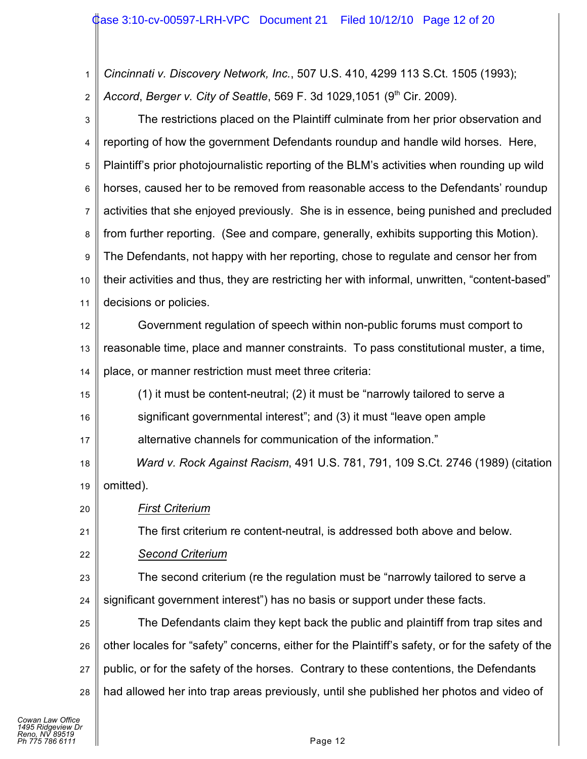1 2 *Cincinnati v. Discovery Network, Inc.*, 507 U.S. 410, 4299 113 S.Ct. 1505 (1993); *Accord, Berger v. City of Seattle, 569 F. 3d 1029,1051 (9<sup>th</sup> Cir. 2009).* 

| $\mathsf 3$      | The restrictions placed on the Plaintiff culminate from her prior observation and                |  |
|------------------|--------------------------------------------------------------------------------------------------|--|
| 4                | reporting of how the government Defendants roundup and handle wild horses. Here,                 |  |
| 5                | Plaintiff's prior photojournalistic reporting of the BLM's activities when rounding up wild      |  |
| 6                | horses, caused her to be removed from reasonable access to the Defendants' roundup               |  |
| $\overline{7}$   | activities that she enjoyed previously. She is in essence, being punished and precluded          |  |
| 8                | from further reporting. (See and compare, generally, exhibits supporting this Motion).           |  |
| $\boldsymbol{9}$ | The Defendants, not happy with her reporting, chose to regulate and censor her from              |  |
| 10               | their activities and thus, they are restricting her with informal, unwritten, "content-based"    |  |
| 11               | decisions or policies.                                                                           |  |
| 12               | Government regulation of speech within non-public forums must comport to                         |  |
| 13               | reasonable time, place and manner constraints. To pass constitutional muster, a time,            |  |
| 14               | place, or manner restriction must meet three criteria:                                           |  |
| 15               | (1) it must be content-neutral; (2) it must be "narrowly tailored to serve a                     |  |
| 16               | significant governmental interest"; and (3) it must "leave open ample                            |  |
| 17               | alternative channels for communication of the information."                                      |  |
| 18               | Ward v. Rock Against Racism, 491 U.S. 781, 791, 109 S.Ct. 2746 (1989) (citation                  |  |
| 19               | omitted).                                                                                        |  |
| 20               | <b>First Criterium</b>                                                                           |  |
| 21               | The first criterium re content-neutral, is addressed both above and below.                       |  |
| 22               | <b>Second Criterium</b>                                                                          |  |
| 23               | The second criterium (re the regulation must be "narrowly tailored to serve a                    |  |
| 24               | significant government interest") has no basis or support under these facts.                     |  |
| 25               | The Defendants claim they kept back the public and plaintiff from trap sites and                 |  |
| 26               | other locales for "safety" concerns, either for the Plaintiff's safety, or for the safety of the |  |
| 27               | public, or for the safety of the horses. Contrary to these contentions, the Defendants           |  |
| 28               | had allowed her into trap areas previously, until she published her photos and video of          |  |
|                  |                                                                                                  |  |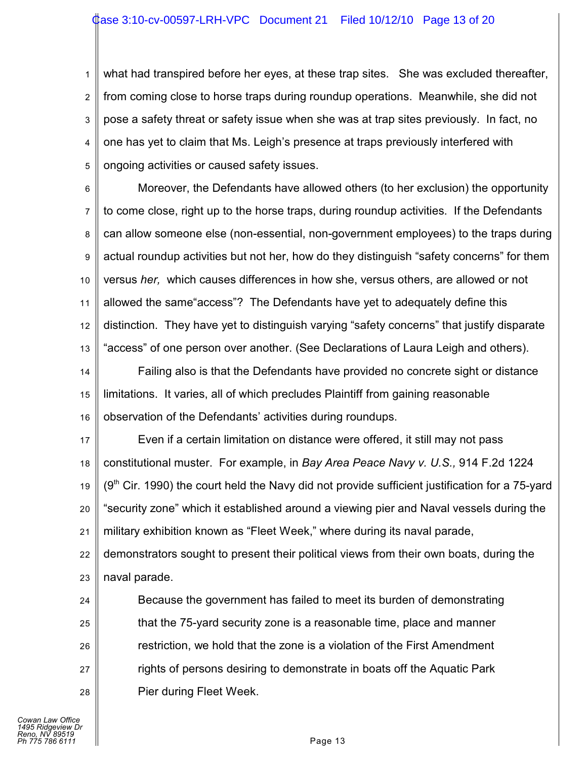1 2 3 4 5 what had transpired before her eyes, at these trap sites. She was excluded thereafter, from coming close to horse traps during roundup operations. Meanwhile, she did not pose a safety threat or safety issue when she was at trap sites previously. In fact, no one has yet to claim that Ms. Leigh's presence at traps previously interfered with ongoing activities or caused safety issues.

6 7 8 9 10 11 12 13 Moreover, the Defendants have allowed others (to her exclusion) the opportunity to come close, right up to the horse traps, during roundup activities. If the Defendants can allow someone else (non-essential, non-government employees) to the traps during actual roundup activities but not her, how do they distinguish "safety concerns" for them versus *her,* which causes differences in how she, versus others, are allowed or not allowed the same"access"? The Defendants have yet to adequately define this distinction. They have yet to distinguish varying "safety concerns" that justify disparate "access" of one person over another. (See Declarations of Laura Leigh and others).

14 15 16 Failing also is that the Defendants have provided no concrete sight or distance limitations. It varies, all of which precludes Plaintiff from gaining reasonable observation of the Defendants' activities during roundups.

17 18 19 20 21 22 Even if a certain limitation on distance were offered, it still may not pass constitutional muster. For example, in *Bay Area Peace Navy v. U.S.,* 914 F.2d 1224  $(9<sup>th</sup>$  Cir. 1990) the court held the Navy did not provide sufficient justification for a 75-yard "security zone" which it established around a viewing pier and Naval vessels during the military exhibition known as "Fleet Week," where during its naval parade, demonstrators sought to present their political views from their own boats, during the

23 naval parade.

24 25 26 27 28 Because the government has failed to meet its burden of demonstrating that the 75-yard security zone is a reasonable time, place and manner restriction, we hold that the zone is a violation of the First Amendment rights of persons desiring to demonstrate in boats off the Aquatic Park Pier during Fleet Week.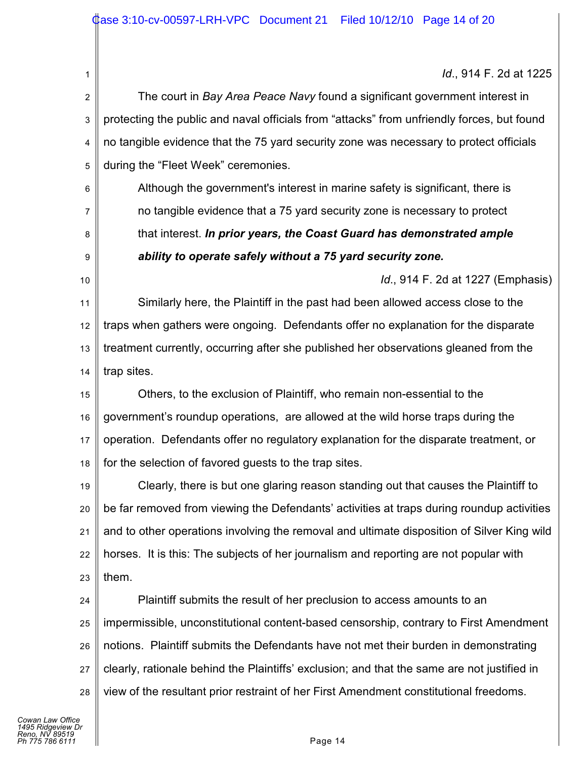*Id*., 914 F. 2d at 1225

2 3 4 5 The court in *Bay Area Peace Navy* found a significant government interest in protecting the public and naval officials from "attacks" from unfriendly forces, but found no tangible evidence that the 75 yard security zone was necessary to protect officials during the "Fleet Week" ceremonies.

Although the government's interest in marine safety is significant, there is no tangible evidence that a 75 yard security zone is necessary to protect that interest. *In prior years, the Coast Guard has demonstrated ample ability to operate safely without a 75 yard security zone.*

*Id*., 914 F. 2d at 1227 (Emphasis)

11 12 13 14 Similarly here, the Plaintiff in the past had been allowed access close to the traps when gathers were ongoing. Defendants offer no explanation for the disparate treatment currently, occurring after she published her observations gleaned from the trap sites.

15 16 17 18 Others, to the exclusion of Plaintiff, who remain non-essential to the government's roundup operations, are allowed at the wild horse traps during the operation. Defendants offer no regulatory explanation for the disparate treatment, or for the selection of favored guests to the trap sites.

19 20 21 22 23 Clearly, there is but one glaring reason standing out that causes the Plaintiff to be far removed from viewing the Defendants' activities at traps during roundup activities and to other operations involving the removal and ultimate disposition of Silver King wild horses. It is this: The subjects of her journalism and reporting are not popular with them.

24 25 26 27 28 Plaintiff submits the result of her preclusion to access amounts to an impermissible, unconstitutional content-based censorship, contrary to First Amendment notions. Plaintiff submits the Defendants have not met their burden in demonstrating clearly, rationale behind the Plaintiffs' exclusion; and that the same are not justified in view of the resultant prior restraint of her First Amendment constitutional freedoms.

1

6

7

8

9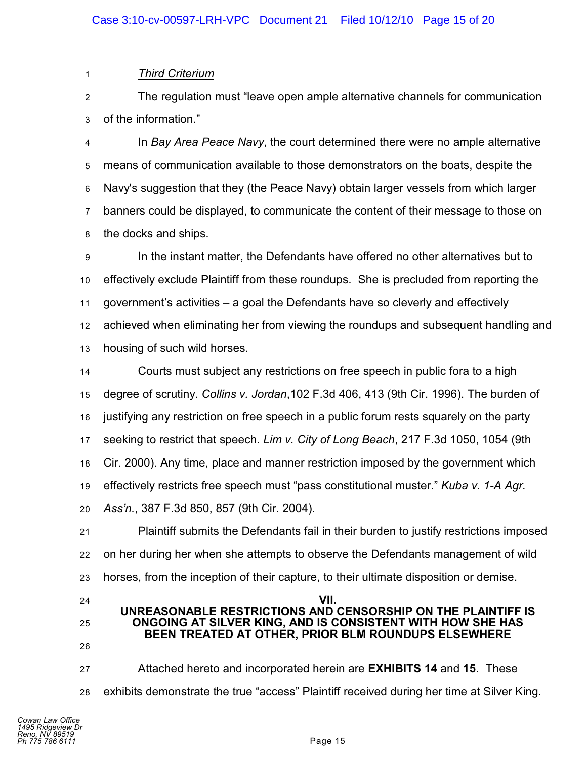## *Third Criterium*

1

2 3 The regulation must "leave open ample alternative channels for communication of the information."

4 5 6 7 8 In *Bay Area Peace Navy*, the court determined there were no ample alternative means of communication available to those demonstrators on the boats, despite the Navy's suggestion that they (the Peace Navy) obtain larger vessels from which larger banners could be displayed, to communicate the content of their message to those on the docks and ships.

9 10 11 12 13 In the instant matter, the Defendants have offered no other alternatives but to effectively exclude Plaintiff from these roundups. She is precluded from reporting the government's activities – a goal the Defendants have so cleverly and effectively achieved when eliminating her from viewing the roundups and subsequent handling and housing of such wild horses.

14 15 16 17 18 19 20 Courts must subject any restrictions on free speech in public fora to a high degree of scrutiny. *Collins v. Jordan*,102 F.3d 406, 413 (9th Cir. 1996). The burden of justifying any restriction on free speech in a public forum rests squarely on the party seeking to restrict that speech. *Lim v. City of Long Beach*, 217 F.3d 1050, 1054 (9th Cir. 2000). Any time, place and manner restriction imposed by the government which effectively restricts free speech must "pass constitutional muster." *Kuba v. 1-A Agr. Ass'n.*, 387 F.3d 850, 857 (9th Cir. 2004).

21 22 23 Plaintiff submits the Defendants fail in their burden to justify restrictions imposed on her during her when she attempts to observe the Defendants management of wild horses, from the inception of their capture, to their ultimate disposition or demise.

24 25 26 27 28 **VII. UNREASONABLE RESTRICTIONS AND CENSORSHIP ON THE PLAINTIFF IS ONGOING AT SILVER KING, AND IS CONSISTENT WITH HOW SHE HAS BEEN TREATED AT OTHER, PRIOR BLM ROUNDUPS ELSEWHERE** Attached hereto and incorporated herein are **EXHIBITS 14** and **15**. These exhibits demonstrate the true "access" Plaintiff received during her time at Silver King.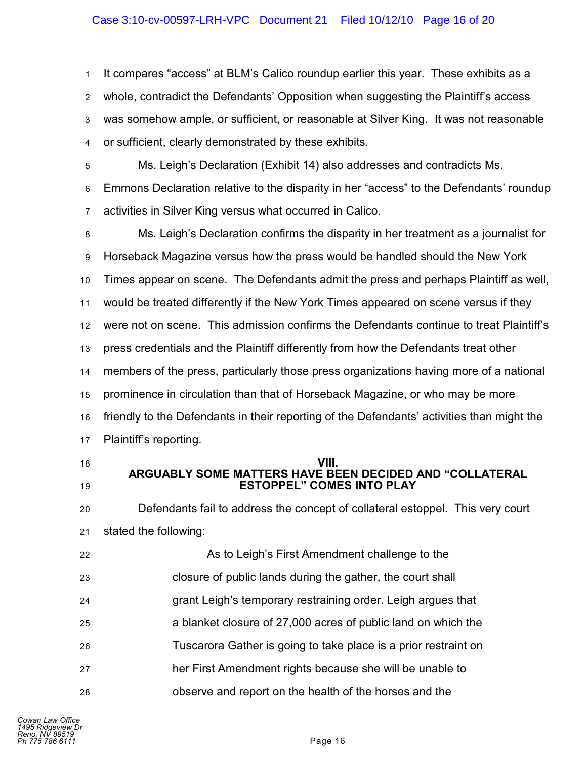1 2 3 4 It compares "access" at BLM's Calico roundup earlier this year. These exhibits as a whole, contradict the Defendants' Opposition when suggesting the Plaintiff's access was somehow ample, or sufficient, or reasonable at Silver King. It was not reasonable or sufficient, clearly demonstrated by these exhibits.

5

6 7 Ms. Leigh's Declaration (Exhibit 14) also addresses and contradicts Ms. Emmons Declaration relative to the disparity in her "access" to the Defendants' roundup activities in Silver King versus what occurred in Calico.

8 9 10 11 12 13 14 15 16 17 Ms. Leigh's Declaration confirms the disparity in her treatment as a journalist for Horseback Magazine versus how the press would be handled should the New York Times appear on scene. The Defendants admit the press and perhaps Plaintiff as well, would be treated differently if the New York Times appeared on scene versus if they were not on scene. This admission confirms the Defendants continue to treat Plaintiff's press credentials and the Plaintiff differently from how the Defendants treat other members of the press, particularly those press organizations having more of a national prominence in circulation than that of Horseback Magazine, or who may be more friendly to the Defendants in their reporting of the Defendants' activities than might the Plaintiff's reporting.

18

19

**VIII.**

# **ARGUABLY SOME MATTERS HAVE BEEN DECIDED AND "COLLATERAL ESTOPPEL" COMES INTO PLAY**

20 21 Defendants fail to address the concept of collateral estoppel. This very court stated the following:

22 23 24 25 26 27 28 As to Leigh's First Amendment challenge to the closure of public lands during the gather, the court shall grant Leigh's temporary restraining order. Leigh argues that a blanket closure of 27,000 acres of public land on which the Tuscarora Gather is going to take place is a prior restraint on her First Amendment rights because she will be unable to observe and report on the health of the horses and the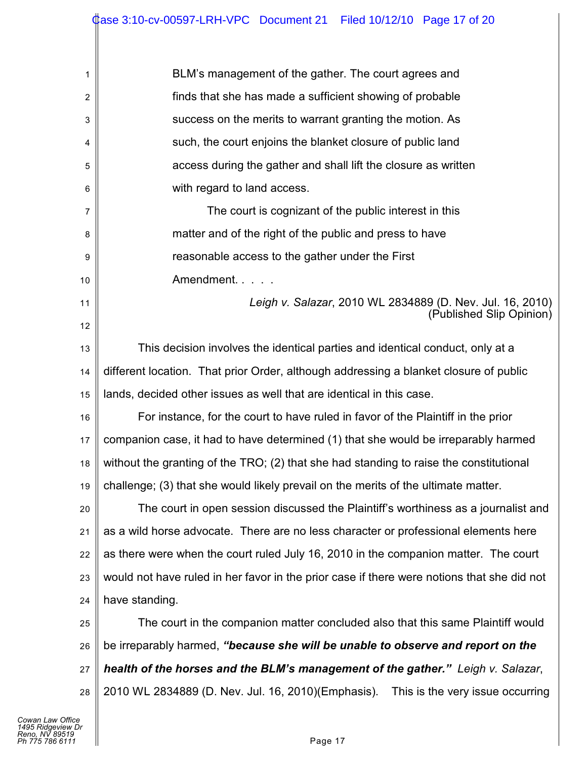| 1  | BLM's management of the gather. The court agrees and                                       |  |  |  |
|----|--------------------------------------------------------------------------------------------|--|--|--|
| 2  | finds that she has made a sufficient showing of probable                                   |  |  |  |
| 3  | success on the merits to warrant granting the motion. As                                   |  |  |  |
| 4  | such, the court enjoins the blanket closure of public land                                 |  |  |  |
| 5  | access during the gather and shall lift the closure as written                             |  |  |  |
| 6  | with regard to land access.                                                                |  |  |  |
| 7  | The court is cognizant of the public interest in this                                      |  |  |  |
| 8  | matter and of the right of the public and press to have                                    |  |  |  |
| 9  | reasonable access to the gather under the First                                            |  |  |  |
| 10 | Amendment.                                                                                 |  |  |  |
| 11 | Leigh v. Salazar, 2010 WL 2834889 (D. Nev. Jul. 16, 2010)                                  |  |  |  |
| 12 | (Published Slip Opinion)                                                                   |  |  |  |
| 13 | This decision involves the identical parties and identical conduct, only at a              |  |  |  |
| 14 | different location. That prior Order, although addressing a blanket closure of public      |  |  |  |
| 15 | lands, decided other issues as well that are identical in this case.                       |  |  |  |
| 16 | For instance, for the court to have ruled in favor of the Plaintiff in the prior           |  |  |  |
| 17 | companion case, it had to have determined (1) that she would be irreparably harmed         |  |  |  |
| 18 | without the granting of the TRO; (2) that she had standing to raise the constitutional     |  |  |  |
| 19 | challenge; (3) that she would likely prevail on the merits of the ultimate matter.         |  |  |  |
| 20 | The court in open session discussed the Plaintiff's worthiness as a journalist and         |  |  |  |
| 21 | as a wild horse advocate. There are no less character or professional elements here        |  |  |  |
| 22 | as there were when the court ruled July 16, 2010 in the companion matter. The court        |  |  |  |
| 23 | would not have ruled in her favor in the prior case if there were notions that she did not |  |  |  |
| 24 | have standing.                                                                             |  |  |  |
| 25 | The court in the companion matter concluded also that this same Plaintiff would            |  |  |  |
| 26 | be irreparably harmed, "because she will be unable to observe and report on the            |  |  |  |
| 27 | health of the horses and the BLM's management of the gather." Leigh v. Salazar,            |  |  |  |
| 28 | 2010 WL 2834889 (D. Nev. Jul. 16, 2010)(Emphasis). This is the very issue occurring        |  |  |  |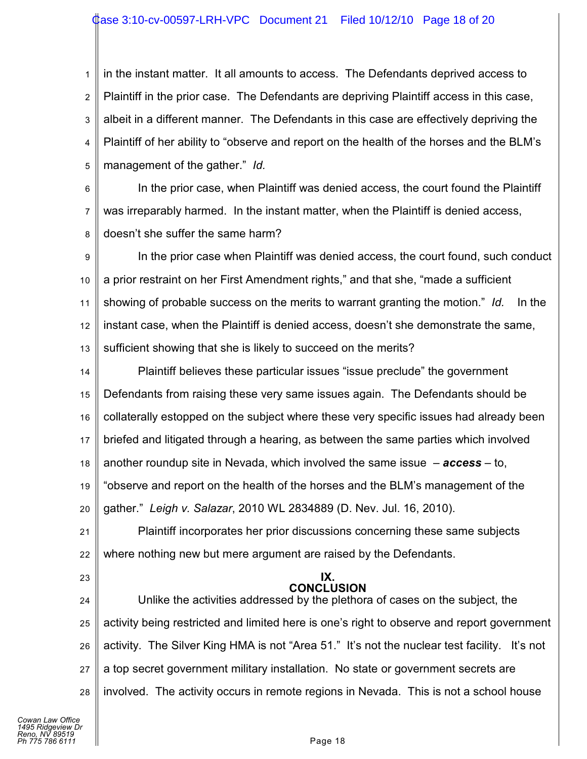## ase 3:10-cv-00597-LRH-VPC Document 21 Filed 10/12/10 Page 18 of 20

1 2 3 4 5 in the instant matter. It all amounts to access. The Defendants deprived access to Plaintiff in the prior case. The Defendants are depriving Plaintiff access in this case, albeit in a different manner. The Defendants in this case are effectively depriving the Plaintiff of her ability to "observe and report on the health of the horses and the BLM's management of the gather." *Id.*

6 7 8 In the prior case, when Plaintiff was denied access, the court found the Plaintiff was irreparably harmed. In the instant matter, when the Plaintiff is denied access, doesn't she suffer the same harm?

9 10 11 12 13 In the prior case when Plaintiff was denied access, the court found, such conduct a prior restraint on her First Amendment rights," and that she, "made a sufficient showing of probable success on the merits to warrant granting the motion." *Id.* In the instant case, when the Plaintiff is denied access, doesn't she demonstrate the same, sufficient showing that she is likely to succeed on the merits?

14 15 16 17 18 19 20 Plaintiff believes these particular issues "issue preclude" the government Defendants from raising these very same issues again. The Defendants should be collaterally estopped on the subject where these very specific issues had already been briefed and litigated through a hearing, as between the same parties which involved another roundup site in Nevada, which involved the same issue – *access* – to, "observe and report on the health of the horses and the BLM's management of the gather." *Leigh v. Salazar*, 2010 WL 2834889 (D. Nev. Jul. 16, 2010).

21 22 Plaintiff incorporates her prior discussions concerning these same subjects where nothing new but mere argument are raised by the Defendants.

23

#### **IX. CONCLUSION**

24 25 26 27 28 Unlike the activities addressed by the plethora of cases on the subject, the activity being restricted and limited here is one's right to observe and report government activity. The Silver King HMA is not "Area 51." It's not the nuclear test facility. It's not a top secret government military installation. No state or government secrets are involved. The activity occurs in remote regions in Nevada. This is not a school house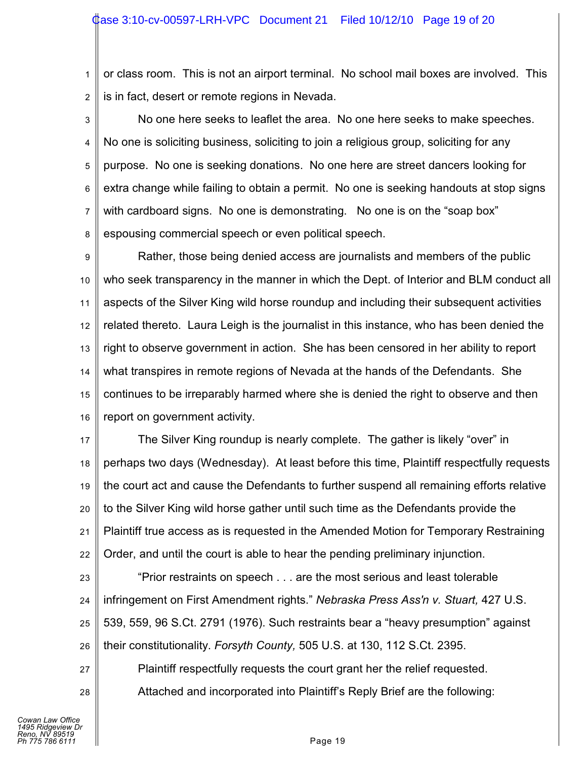1 2 or class room. This is not an airport terminal. No school mail boxes are involved. This is in fact, desert or remote regions in Nevada.

3 4 5 6 7 8 No one here seeks to leaflet the area. No one here seeks to make speeches. No one is soliciting business, soliciting to join a religious group, soliciting for any purpose. No one is seeking donations. No one here are street dancers looking for extra change while failing to obtain a permit. No one is seeking handouts at stop signs with cardboard signs. No one is demonstrating. No one is on the "soap box" espousing commercial speech or even political speech.

9 10 11 12 13 14 15 16 Rather, those being denied access are journalists and members of the public who seek transparency in the manner in which the Dept. of Interior and BLM conduct all aspects of the Silver King wild horse roundup and including their subsequent activities related thereto. Laura Leigh is the journalist in this instance, who has been denied the right to observe government in action. She has been censored in her ability to report what transpires in remote regions of Nevada at the hands of the Defendants. She continues to be irreparably harmed where she is denied the right to observe and then report on government activity.

17 18 19 20 21 22 The Silver King roundup is nearly complete. The gather is likely "over" in perhaps two days (Wednesday). At least before this time, Plaintiff respectfully requests the court act and cause the Defendants to further suspend all remaining efforts relative to the Silver King wild horse gather until such time as the Defendants provide the Plaintiff true access as is requested in the Amended Motion for Temporary Restraining Order, and until the court is able to hear the pending preliminary injunction.

23 24 25 26 "Prior restraints on speech . . . are the most serious and least tolerable infringement on First Amendment rights." *Nebraska Press Ass'n v. Stuart,* 427 U.S. 539, 559, 96 S.Ct. 2791 (1976). Such restraints bear a "heavy presumption" against their constitutionality. *Forsyth County,* 505 U.S. at 130, 112 S.Ct. 2395.

Plaintiff respectfully requests the court grant her the relief requested.

Attached and incorporated into Plaintiff's Reply Brief are the following:

27